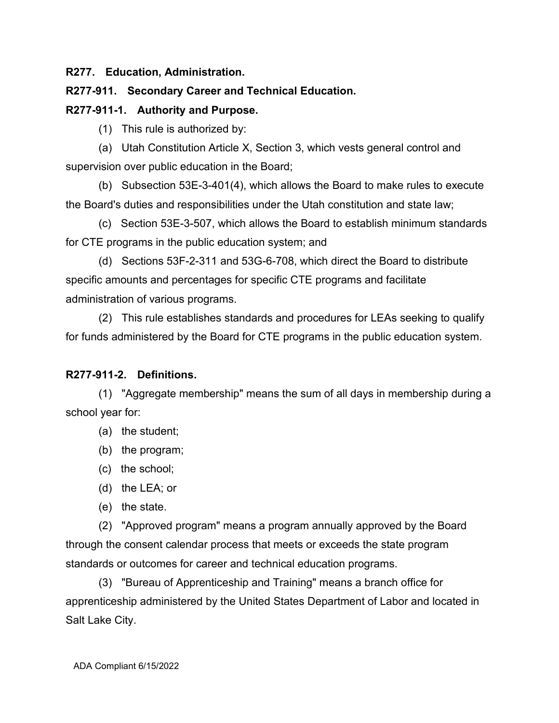#### **R277. Education, Administration.**

#### **R277-911. Secondary Career and Technical Education.**

#### **R277-911-1. Authority and Purpose.**

(1) This rule is authorized by:

(a) Utah Constitution Article X, Section 3, which vests general control and supervision over public education in the Board;

(b) Subsection 53E-3-401(4), which allows the Board to make rules to execute the Board's duties and responsibilities under the Utah constitution and state law;

(c) Section 53E-3-507, which allows the Board to establish minimum standards for CTE programs in the public education system; and

(d) Sections 53F-2-311 and 53G-6-708, which direct the Board to distribute specific amounts and percentages for specific CTE programs and facilitate administration of various programs.

(2) This rule establishes standards and procedures for LEAs seeking to qualify for funds administered by the Board for CTE programs in the public education system.

#### **R277-911-2. Definitions.**

(1) "Aggregate membership" means the sum of all days in membership during a school year for:

- (a) the student;
- (b) the program;
- (c) the school;

(d) the LEA; or

(e) the state.

(2) "Approved program" means a program annually approved by the Board through the consent calendar process that meets or exceeds the state program standards or outcomes for career and technical education programs.

(3) "Bureau of Apprenticeship and Training" means a branch office for apprenticeship administered by the United States Department of Labor and located in Salt Lake City.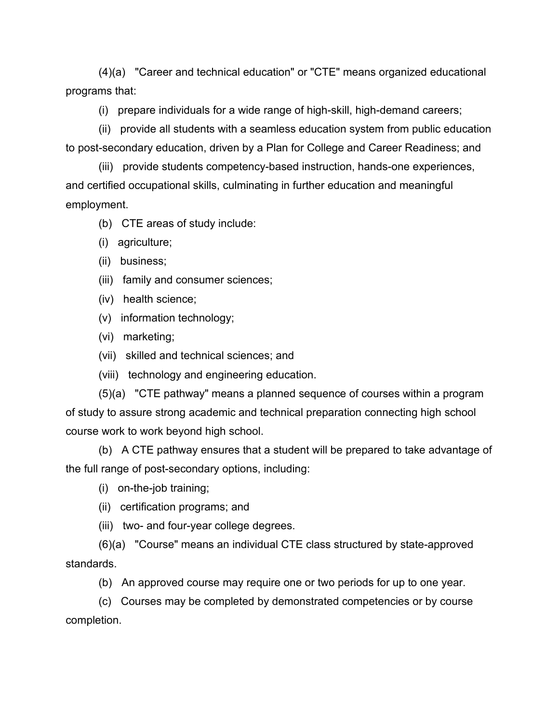(4)(a) "Career and technical education" or "CTE" means organized educational programs that:

(i) prepare individuals for a wide range of high-skill, high-demand careers;

(ii) provide all students with a seamless education system from public education to post-secondary education, driven by a Plan for College and Career Readiness; and

(iii) provide students competency-based instruction, hands-one experiences, and certified occupational skills, culminating in further education and meaningful employment.

(b) CTE areas of study include:

- (i) agriculture;
- (ii) business;
- (iii) family and consumer sciences;
- (iv) health science;
- (v) information technology;
- (vi) marketing;
- (vii) skilled and technical sciences; and
- (viii) technology and engineering education.

(5)(a) "CTE pathway" means a planned sequence of courses within a program of study to assure strong academic and technical preparation connecting high school course work to work beyond high school.

(b) A CTE pathway ensures that a student will be prepared to take advantage of the full range of post-secondary options, including:

- (i) on-the-job training;
- (ii) certification programs; and
- (iii) two- and four-year college degrees.

(6)(a) "Course" means an individual CTE class structured by state-approved standards.

(b) An approved course may require one or two periods for up to one year.

(c) Courses may be completed by demonstrated competencies or by course completion.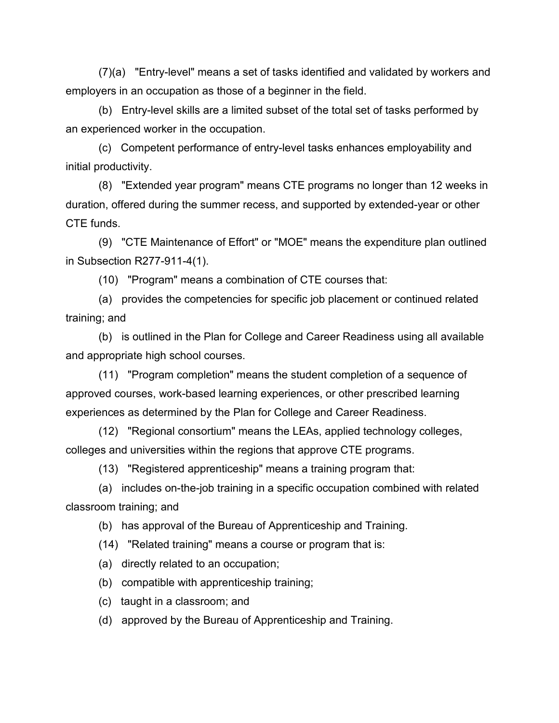(7)(a) "Entry-level" means a set of tasks identified and validated by workers and employers in an occupation as those of a beginner in the field.

(b) Entry-level skills are a limited subset of the total set of tasks performed by an experienced worker in the occupation.

(c) Competent performance of entry-level tasks enhances employability and initial productivity.

(8) "Extended year program" means CTE programs no longer than 12 weeks in duration, offered during the summer recess, and supported by extended-year or other CTE funds.

(9) "CTE Maintenance of Effort" or "MOE" means the expenditure plan outlined in Subsection R277-911-4(1).

(10) "Program" means a combination of CTE courses that:

(a) provides the competencies for specific job placement or continued related training; and

(b) is outlined in the Plan for College and Career Readiness using all available and appropriate high school courses.

(11) "Program completion" means the student completion of a sequence of approved courses, work-based learning experiences, or other prescribed learning experiences as determined by the Plan for College and Career Readiness.

(12) "Regional consortium" means the LEAs, applied technology colleges, colleges and universities within the regions that approve CTE programs.

(13) "Registered apprenticeship" means a training program that:

(a) includes on-the-job training in a specific occupation combined with related classroom training; and

(b) has approval of the Bureau of Apprenticeship and Training.

(14) "Related training" means a course or program that is:

(a) directly related to an occupation;

(b) compatible with apprenticeship training;

(c) taught in a classroom; and

(d) approved by the Bureau of Apprenticeship and Training.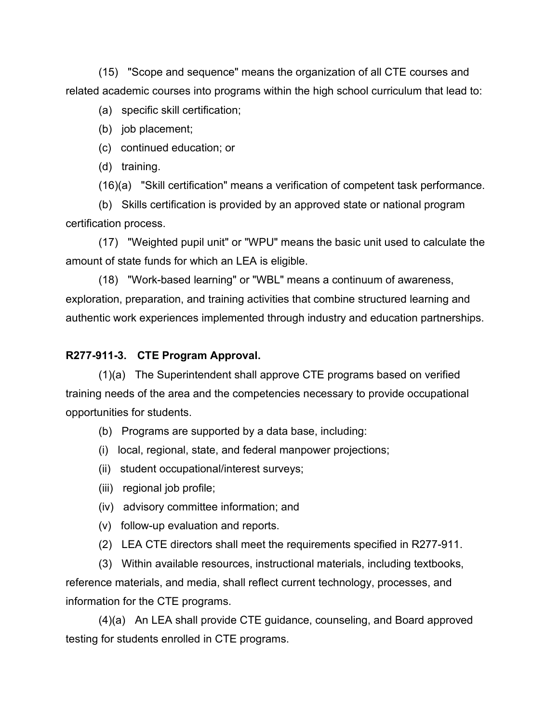(15) "Scope and sequence" means the organization of all CTE courses and related academic courses into programs within the high school curriculum that lead to:

(a) specific skill certification;

- (b) job placement;
- (c) continued education; or
- (d) training.

(16)(a) "Skill certification" means a verification of competent task performance.

(b) Skills certification is provided by an approved state or national program certification process.

(17) "Weighted pupil unit" or "WPU" means the basic unit used to calculate the amount of state funds for which an LEA is eligible.

(18) "Work-based learning" or "WBL" means a continuum of awareness, exploration, preparation, and training activities that combine structured learning and authentic work experiences implemented through industry and education partnerships.

## **R277-911-3. CTE Program Approval.**

(1)(a) The Superintendent shall approve CTE programs based on verified training needs of the area and the competencies necessary to provide occupational opportunities for students.

- (b) Programs are supported by a data base, including:
- (i) local, regional, state, and federal manpower projections;
- (ii) student occupational/interest surveys;
- (iii) regional job profile;
- (iv) advisory committee information; and
- (v) follow-up evaluation and reports.
- (2) LEA CTE directors shall meet the requirements specified in R277-911.

(3) Within available resources, instructional materials, including textbooks, reference materials, and media, shall reflect current technology, processes, and information for the CTE programs.

(4)(a) An LEA shall provide CTE guidance, counseling, and Board approved testing for students enrolled in CTE programs.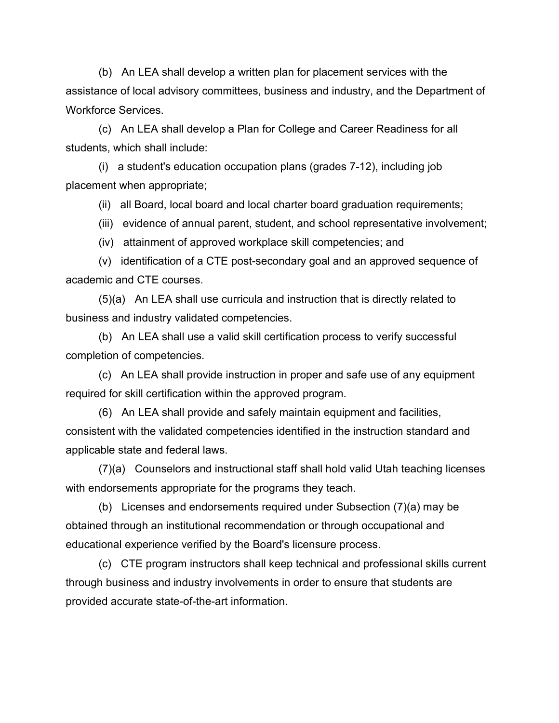(b) An LEA shall develop a written plan for placement services with the assistance of local advisory committees, business and industry, and the Department of Workforce Services.

(c) An LEA shall develop a Plan for College and Career Readiness for all students, which shall include:

(i) a student's education occupation plans (grades 7-12), including job placement when appropriate;

(ii) all Board, local board and local charter board graduation requirements;

(iii) evidence of annual parent, student, and school representative involvement;

(iv) attainment of approved workplace skill competencies; and

(v) identification of a CTE post-secondary goal and an approved sequence of academic and CTE courses.

(5)(a) An LEA shall use curricula and instruction that is directly related to business and industry validated competencies.

(b) An LEA shall use a valid skill certification process to verify successful completion of competencies.

(c) An LEA shall provide instruction in proper and safe use of any equipment required for skill certification within the approved program.

(6) An LEA shall provide and safely maintain equipment and facilities, consistent with the validated competencies identified in the instruction standard and applicable state and federal laws.

(7)(a) Counselors and instructional staff shall hold valid Utah teaching licenses with endorsements appropriate for the programs they teach.

(b) Licenses and endorsements required under Subsection (7)(a) may be obtained through an institutional recommendation or through occupational and educational experience verified by the Board's licensure process.

(c) CTE program instructors shall keep technical and professional skills current through business and industry involvements in order to ensure that students are provided accurate state-of-the-art information.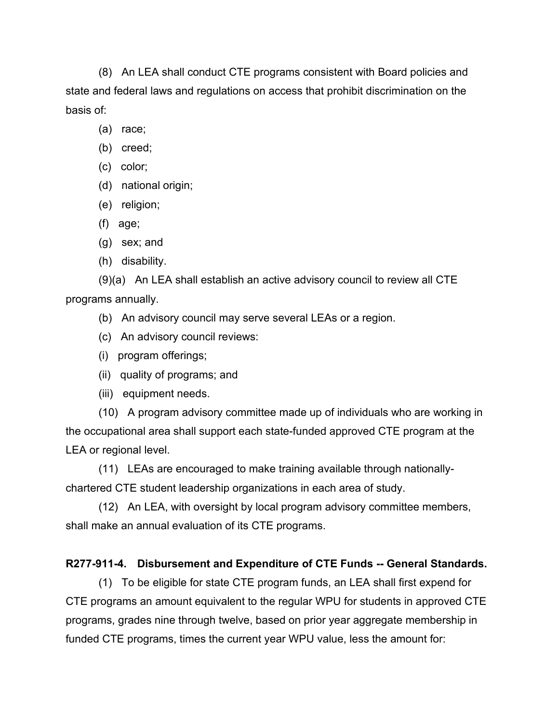(8) An LEA shall conduct CTE programs consistent with Board policies and state and federal laws and regulations on access that prohibit discrimination on the basis of:

- (a) race;
- (b) creed;
- (c) color;
- (d) national origin;
- (e) religion;
- (f) age;
- (g) sex; and
- (h) disability.

(9)(a) An LEA shall establish an active advisory council to review all CTE programs annually.

- (b) An advisory council may serve several LEAs or a region.
- (c) An advisory council reviews:
- (i) program offerings;
- (ii) quality of programs; and
- (iii) equipment needs.

(10) A program advisory committee made up of individuals who are working in the occupational area shall support each state-funded approved CTE program at the LEA or regional level.

(11) LEAs are encouraged to make training available through nationallychartered CTE student leadership organizations in each area of study.

(12) An LEA, with oversight by local program advisory committee members, shall make an annual evaluation of its CTE programs.

# **R277-911-4. Disbursement and Expenditure of CTE Funds -- General Standards.**

(1) To be eligible for state CTE program funds, an LEA shall first expend for CTE programs an amount equivalent to the regular WPU for students in approved CTE programs, grades nine through twelve, based on prior year aggregate membership in funded CTE programs, times the current year WPU value, less the amount for: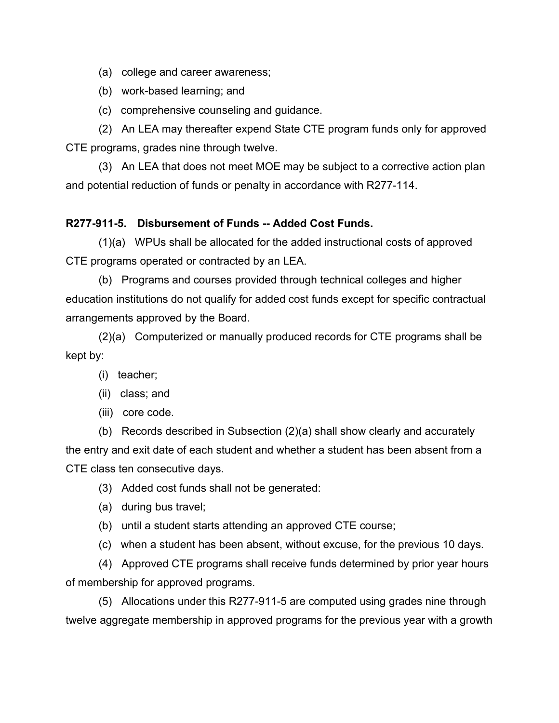(a) college and career awareness;

(b) work-based learning; and

(c) comprehensive counseling and guidance.

(2) An LEA may thereafter expend State CTE program funds only for approved CTE programs, grades nine through twelve.

(3) An LEA that does not meet MOE may be subject to a corrective action plan and potential reduction of funds or penalty in accordance with R277-114.

#### **R277-911-5. Disbursement of Funds -- Added Cost Funds.**

(1)(a) WPUs shall be allocated for the added instructional costs of approved CTE programs operated or contracted by an LEA.

(b) Programs and courses provided through technical colleges and higher education institutions do not qualify for added cost funds except for specific contractual arrangements approved by the Board.

(2)(a) Computerized or manually produced records for CTE programs shall be kept by:

- (i) teacher;
- (ii) class; and
- (iii) core code.

(b) Records described in Subsection (2)(a) shall show clearly and accurately the entry and exit date of each student and whether a student has been absent from a CTE class ten consecutive days.

(3) Added cost funds shall not be generated:

- (a) during bus travel;
- (b) until a student starts attending an approved CTE course;
- (c) when a student has been absent, without excuse, for the previous 10 days.

(4) Approved CTE programs shall receive funds determined by prior year hours of membership for approved programs.

(5) Allocations under this R277-911-5 are computed using grades nine through twelve aggregate membership in approved programs for the previous year with a growth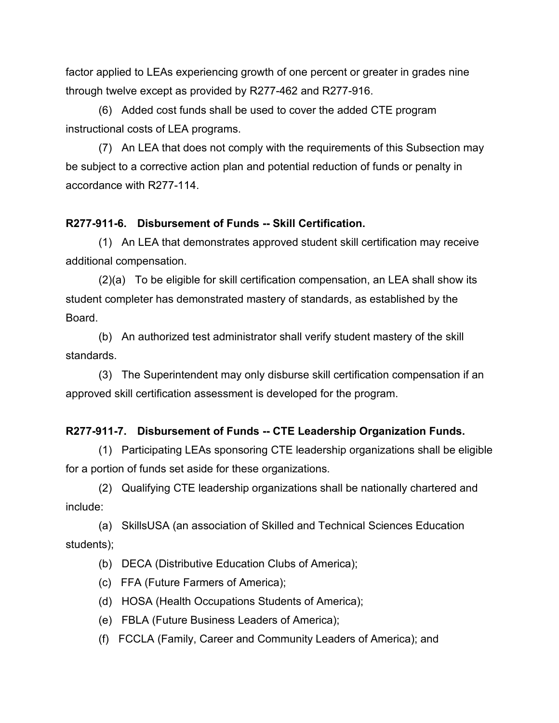factor applied to LEAs experiencing growth of one percent or greater in grades nine through twelve except as provided by R277-462 and R277-916.

(6) Added cost funds shall be used to cover the added CTE program instructional costs of LEA programs.

(7) An LEA that does not comply with the requirements of this Subsection may be subject to a corrective action plan and potential reduction of funds or penalty in accordance with R277-114.

#### **R277-911-6. Disbursement of Funds -- Skill Certification.**

(1) An LEA that demonstrates approved student skill certification may receive additional compensation.

(2)(a) To be eligible for skill certification compensation, an LEA shall show its student completer has demonstrated mastery of standards, as established by the Board.

(b) An authorized test administrator shall verify student mastery of the skill standards.

(3) The Superintendent may only disburse skill certification compensation if an approved skill certification assessment is developed for the program.

# **R277-911-7. Disbursement of Funds -- CTE Leadership Organization Funds.**

(1) Participating LEAs sponsoring CTE leadership organizations shall be eligible for a portion of funds set aside for these organizations.

(2) Qualifying CTE leadership organizations shall be nationally chartered and include:

(a) SkillsUSA (an association of Skilled and Technical Sciences Education students);

(b) DECA (Distributive Education Clubs of America);

(c) FFA (Future Farmers of America);

(d) HOSA (Health Occupations Students of America);

(e) FBLA (Future Business Leaders of America);

(f) FCCLA (Family, Career and Community Leaders of America); and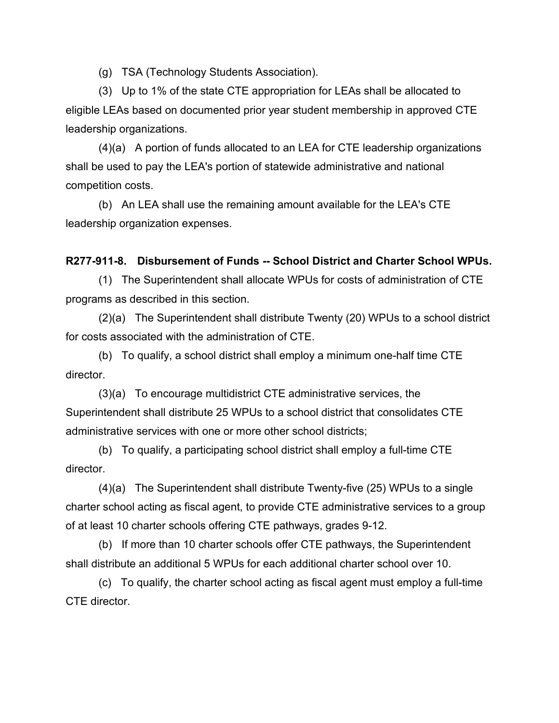(g) TSA (Technology Students Association).

(3) Up to 1% of the state CTE appropriation for LEAs shall be allocated to eligible LEAs based on documented prior year student membership in approved CTE leadership organizations.

(4)(a) A portion of funds allocated to an LEA for CTE leadership organizations shall be used to pay the LEA's portion of statewide administrative and national competition costs.

(b) An LEA shall use the remaining amount available for the LEA's CTE leadership organization expenses.

#### **R277-911-8. Disbursement of Funds -- School District and Charter School WPUs.**

(1) The Superintendent shall allocate WPUs for costs of administration of CTE programs as described in this section.

(2)(a) The Superintendent shall distribute Twenty (20) WPUs to a school district for costs associated with the administration of CTE.

(b) To qualify, a school district shall employ a minimum one-half time CTE director.

(3)(a) To encourage multidistrict CTE administrative services, the Superintendent shall distribute 25 WPUs to a school district that consolidates CTE administrative services with one or more other school districts;

(b) To qualify, a participating school district shall employ a full-time CTE director.

(4)(a) The Superintendent shall distribute Twenty-five (25) WPUs to a single charter school acting as fiscal agent, to provide CTE administrative services to a group of at least 10 charter schools offering CTE pathways, grades 9-12.

(b) If more than 10 charter schools offer CTE pathways, the Superintendent shall distribute an additional 5 WPUs for each additional charter school over 10.

(c) To qualify, the charter school acting as fiscal agent must employ a full-time CTE director.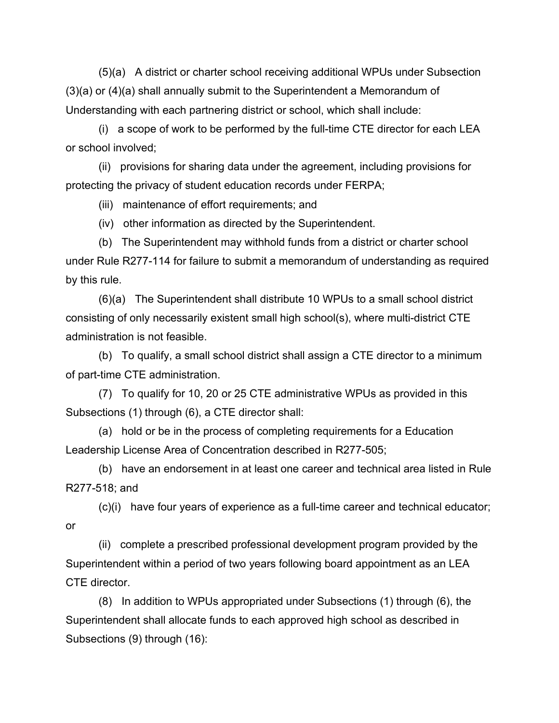(5)(a) A district or charter school receiving additional WPUs under Subsection (3)(a) or (4)(a) shall annually submit to the Superintendent a Memorandum of Understanding with each partnering district or school, which shall include:

(i) a scope of work to be performed by the full-time CTE director for each LEA or school involved;

(ii) provisions for sharing data under the agreement, including provisions for protecting the privacy of student education records under FERPA;

(iii) maintenance of effort requirements; and

(iv) other information as directed by the Superintendent.

(b) The Superintendent may withhold funds from a district or charter school under Rule R277-114 for failure to submit a memorandum of understanding as required by this rule.

(6)(a) The Superintendent shall distribute 10 WPUs to a small school district consisting of only necessarily existent small high school(s), where multi-district CTE administration is not feasible.

(b) To qualify, a small school district shall assign a CTE director to a minimum of part-time CTE administration.

(7) To qualify for 10, 20 or 25 CTE administrative WPUs as provided in this Subsections (1) through (6), a CTE director shall:

(a) hold or be in the process of completing requirements for a Education Leadership License Area of Concentration described in R277-505;

(b) have an endorsement in at least one career and technical area listed in Rule R277-518; and

(c)(i) have four years of experience as a full-time career and technical educator; or

(ii) complete a prescribed professional development program provided by the Superintendent within a period of two years following board appointment as an LEA CTE director.

(8) In addition to WPUs appropriated under Subsections (1) through (6), the Superintendent shall allocate funds to each approved high school as described in Subsections (9) through (16):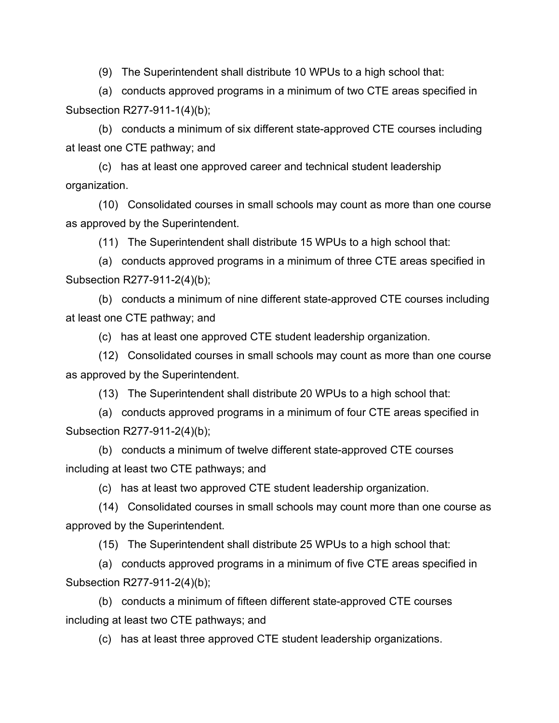(9) The Superintendent shall distribute 10 WPUs to a high school that:

(a) conducts approved programs in a minimum of two CTE areas specified in Subsection R277-911-1(4)(b);

(b) conducts a minimum of six different state-approved CTE courses including at least one CTE pathway; and

(c) has at least one approved career and technical student leadership organization.

(10) Consolidated courses in small schools may count as more than one course as approved by the Superintendent.

(11) The Superintendent shall distribute 15 WPUs to a high school that:

(a) conducts approved programs in a minimum of three CTE areas specified in Subsection R277-911-2(4)(b);

(b) conducts a minimum of nine different state-approved CTE courses including at least one CTE pathway; and

(c) has at least one approved CTE student leadership organization.

(12) Consolidated courses in small schools may count as more than one course as approved by the Superintendent.

(13) The Superintendent shall distribute 20 WPUs to a high school that:

(a) conducts approved programs in a minimum of four CTE areas specified in Subsection R277-911-2(4)(b);

(b) conducts a minimum of twelve different state-approved CTE courses including at least two CTE pathways; and

(c) has at least two approved CTE student leadership organization.

(14) Consolidated courses in small schools may count more than one course as approved by the Superintendent.

(15) The Superintendent shall distribute 25 WPUs to a high school that:

(a) conducts approved programs in a minimum of five CTE areas specified in Subsection R277-911-2(4)(b);

(b) conducts a minimum of fifteen different state-approved CTE courses including at least two CTE pathways; and

(c) has at least three approved CTE student leadership organizations.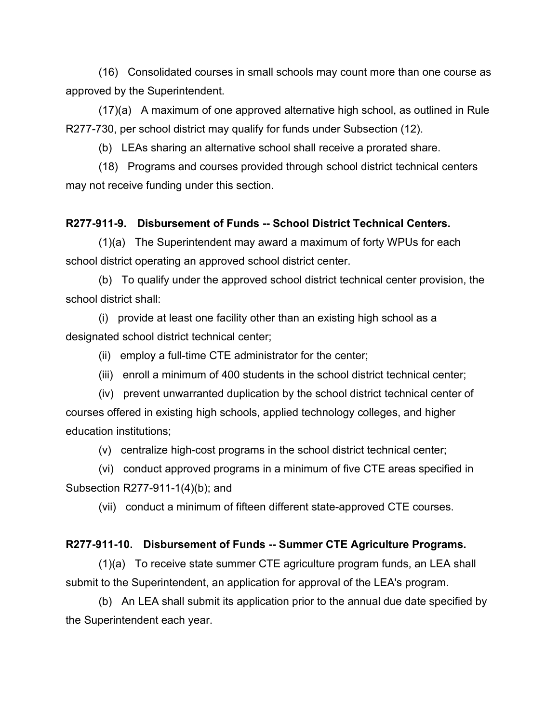(16) Consolidated courses in small schools may count more than one course as approved by the Superintendent.

(17)(a) A maximum of one approved alternative high school, as outlined in Rule R277-730, per school district may qualify for funds under Subsection (12).

(b) LEAs sharing an alternative school shall receive a prorated share.

(18) Programs and courses provided through school district technical centers may not receive funding under this section.

## **R277-911-9. Disbursement of Funds -- School District Technical Centers.**

(1)(a) The Superintendent may award a maximum of forty WPUs for each school district operating an approved school district center.

(b) To qualify under the approved school district technical center provision, the school district shall:

(i) provide at least one facility other than an existing high school as a designated school district technical center;

(ii) employ a full-time CTE administrator for the center;

(iii) enroll a minimum of 400 students in the school district technical center;

(iv) prevent unwarranted duplication by the school district technical center of courses offered in existing high schools, applied technology colleges, and higher education institutions;

(v) centralize high-cost programs in the school district technical center;

(vi) conduct approved programs in a minimum of five CTE areas specified in Subsection R277-911-1(4)(b); and

(vii) conduct a minimum of fifteen different state-approved CTE courses.

#### **R277-911-10. Disbursement of Funds -- Summer CTE Agriculture Programs.**

(1)(a) To receive state summer CTE agriculture program funds, an LEA shall submit to the Superintendent, an application for approval of the LEA's program.

(b) An LEA shall submit its application prior to the annual due date specified by the Superintendent each year.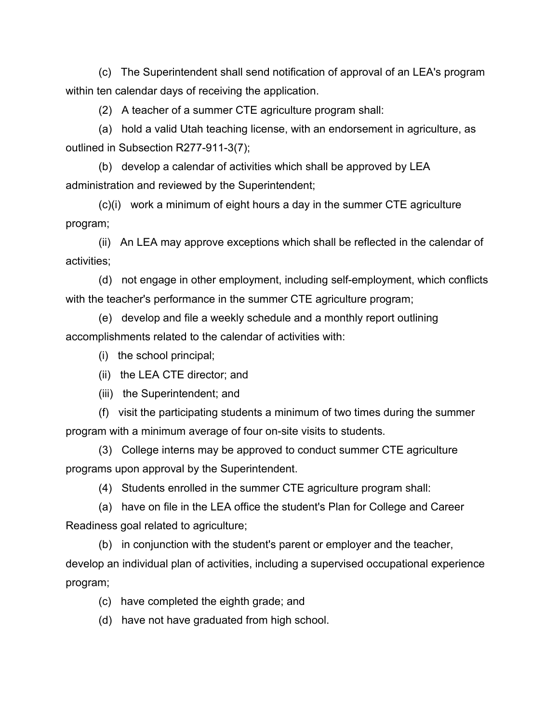(c) The Superintendent shall send notification of approval of an LEA's program within ten calendar days of receiving the application.

(2) A teacher of a summer CTE agriculture program shall:

(a) hold a valid Utah teaching license, with an endorsement in agriculture, as outlined in Subsection R277-911-3(7);

(b) develop a calendar of activities which shall be approved by LEA administration and reviewed by the Superintendent;

(c)(i) work a minimum of eight hours a day in the summer CTE agriculture program;

(ii) An LEA may approve exceptions which shall be reflected in the calendar of activities;

(d) not engage in other employment, including self-employment, which conflicts with the teacher's performance in the summer CTE agriculture program;

(e) develop and file a weekly schedule and a monthly report outlining accomplishments related to the calendar of activities with:

(i) the school principal;

(ii) the LEA CTE director; and

(iii) the Superintendent; and

(f) visit the participating students a minimum of two times during the summer program with a minimum average of four on-site visits to students.

(3) College interns may be approved to conduct summer CTE agriculture programs upon approval by the Superintendent.

(4) Students enrolled in the summer CTE agriculture program shall:

(a) have on file in the LEA office the student's Plan for College and Career Readiness goal related to agriculture;

(b) in conjunction with the student's parent or employer and the teacher, develop an individual plan of activities, including a supervised occupational experience program;

- (c) have completed the eighth grade; and
- (d) have not have graduated from high school.